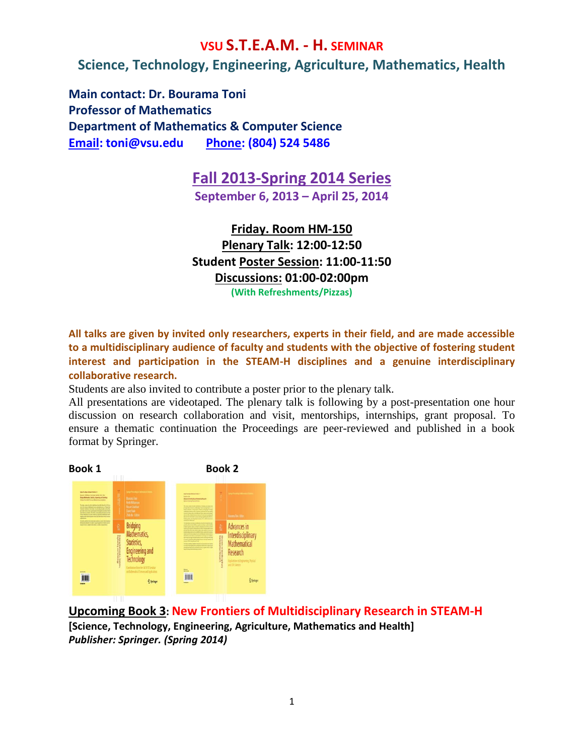#### **VSU S.T.E.A.M. - H. SEMINAR**

**Science, Technology, Engineering, Agriculture, Mathematics, Health**

**Main contact: Dr. Bourama Toni Professor of Mathematics Department of Mathematics & Computer Science [Email: toni@vsu.edu](mailto:Email:%20toni@vsu.edu) Phone: (804) 524 5486**

## **Fall 2013-Spring 2014 Series**

**September 6, 2013 – April 25, 2014**

**Friday. Room HM-150 Plenary Talk: 12:00-12:50 Student Poster Session: 11:00-11:50 Discussions: 01:00-02:00pm (With Refreshments/Pizzas)**

**All talks are given by invited only researchers, experts in their field, and are made accessible to a multidisciplinary audience of faculty and students with the objective of fostering student interest and participation in the STEAM-H disciplines and a genuine interdisciplinary collaborative research.** 

Students are also invited to contribute a poster prior to the plenary talk.

All presentations are videotaped. The plenary talk is following by a post-presentation one hour discussion on research collaboration and visit, mentorships, internships, grant proposal. To ensure a thematic continuation the Proceedings are peer-reviewed and published in a book format by Springer.



**Upcoming Book 3: New Frontiers of Multidisciplinary Research in STEAM-H [Science, Technology, Engineering, Agriculture, Mathematics and Health]** *Publisher: Springer. (Spring 2014)*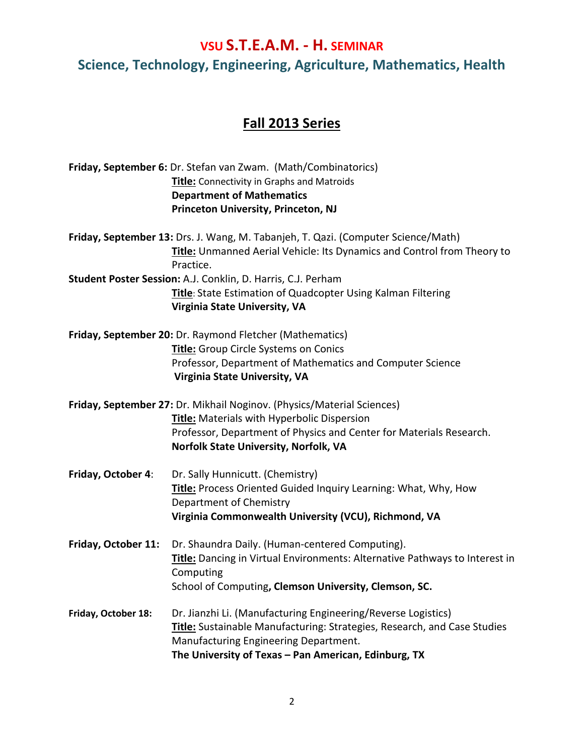# **Fall 2013 Series**

|                     | Friday, September 6: Dr. Stefan van Zwam. (Math/Combinatorics)<br><b>Title:</b> Connectivity in Graphs and Matroids<br><b>Department of Mathematics</b><br><b>Princeton University, Princeton, NJ</b>                                        |
|---------------------|----------------------------------------------------------------------------------------------------------------------------------------------------------------------------------------------------------------------------------------------|
|                     | Friday, September 13: Drs. J. Wang, M. Tabanjeh, T. Qazi. (Computer Science/Math)<br>Title: Unmanned Aerial Vehicle: Its Dynamics and Control from Theory to<br>Practice.                                                                    |
|                     | Student Poster Session: A.J. Conklin, D. Harris, C.J. Perham<br><b>Title:</b> State Estimation of Quadcopter Using Kalman Filtering<br>Virginia State University, VA                                                                         |
|                     | Friday, September 20: Dr. Raymond Fletcher (Mathematics)<br>Title: Group Circle Systems on Conics<br>Professor, Department of Mathematics and Computer Science<br><b>Virginia State University, VA</b>                                       |
|                     | Friday, September 27: Dr. Mikhail Noginov. (Physics/Material Sciences)<br><b>Title:</b> Materials with Hyperbolic Dispersion<br>Professor, Department of Physics and Center for Materials Research.<br>Norfolk State University, Norfolk, VA |
| Friday, October 4:  | Dr. Sally Hunnicutt. (Chemistry)<br>Title: Process Oriented Guided Inquiry Learning: What, Why, How<br>Department of Chemistry<br>Virginia Commonwealth University (VCU), Richmond, VA                                                       |
| Friday, October 11: | Dr. Shaundra Daily. (Human-centered Computing).<br>Title: Dancing in Virtual Environments: Alternative Pathways to Interest in<br>Computing<br>School of Computing, Clemson University, Clemson, SC.                                         |
| Friday, October 18: | Dr. Jianzhi Li. (Manufacturing Engineering/Reverse Logistics)<br>Title: Sustainable Manufacturing: Strategies, Research, and Case Studies<br>Manufacturing Engineering Department.<br>The University of Texas - Pan American, Edinburg, TX   |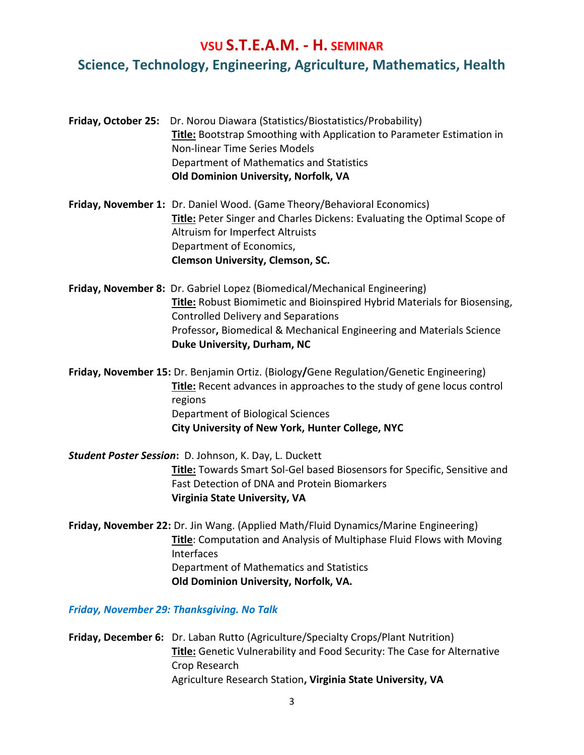**Friday, October 25:** Dr. Norou Diawara (Statistics/Biostatistics/Probability) **Title:** Bootstrap Smoothing with Application to Parameter Estimation in Non-linear Time Series Models Department of Mathematics and Statistics **Old Dominion University, Norfolk, VA** 

**Friday, November 1:** Dr. Daniel Wood. (Game Theory/Behavioral Economics) **Title:** Peter Singer and Charles Dickens: Evaluating the Optimal Scope of Altruism for Imperfect Altruists Department of Economics, **Clemson University, Clemson, SC.**

**Friday, November 8:** Dr. Gabriel Lopez (Biomedical/Mechanical Engineering) **Title:** Robust Biomimetic and Bioinspired Hybrid Materials for Biosensing, Controlled Delivery and Separations Professor**,** Biomedical & Mechanical Engineering and Materials Science **Duke University, Durham, NC**

**Friday, November 15:** Dr. Benjamin Ortiz. (Biology**/**Gene Regulation/Genetic Engineering) **Title:** Recent advances in approaches to the study of gene locus control regions Department of Biological Sciences  **City University of New York, Hunter College, NYC**

*Student Poster Session***:** D. Johnson, K. Day, L. Duckett **Title:** Towards Smart Sol-Gel based Biosensors for Specific, Sensitive and Fast Detection of DNA and Protein Biomarkers **Virginia State University, VA**

**Friday, November 22:** Dr. Jin Wang. (Applied Math/Fluid Dynamics/Marine Engineering) **Title**: Computation and Analysis of Multiphase Fluid Flows with Moving Interfaces Department of Mathematics and Statistics **Old Dominion University, Norfolk, VA.**

*Friday, November 29: Thanksgiving. No Talk*

**Friday, December 6:** Dr. Laban Rutto (Agriculture/Specialty Crops/Plant Nutrition) **Title:** Genetic Vulnerability and Food Security: The Case for Alternative Crop Research Agriculture Research Station**, Virginia State University, VA**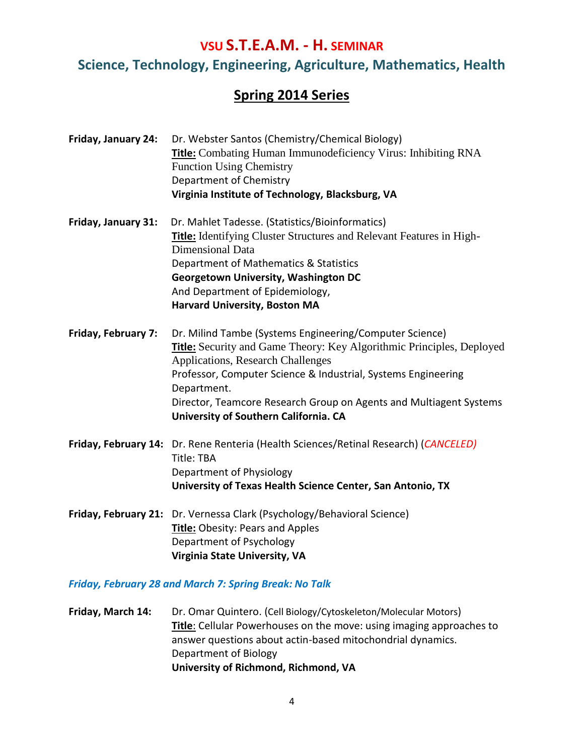#### **Spring 2014 Series**

- **Friday, January 24:** Dr. Webster Santos (Chemistry/Chemical Biology) **Title:** Combating Human Immunodeficiency Virus: Inhibiting RNA Function Using Chemistry Department of Chemistry **Virginia Institute of Technology, Blacksburg, VA Friday, January 31:** Dr. Mahlet Tadesse. (Statistics/Bioinformatics) **Title:** Identifying Cluster Structures and Relevant Features in High-Dimensional Data Department of Mathematics & Statistics **Georgetown University, Washington DC** And Department of Epidemiology, **Harvard University, Boston MA Friday, February 7:** Dr. Milind Tambe (Systems Engineering/Computer Science) **Title:** Security and Game Theory: Key Algorithmic Principles, Deployed Applications, Research Challenges Professor, Computer Science & Industrial, Systems Engineering Department. Director, Teamcore Research Group on Agents and Multiagent Systems **University of Southern California. CA**
- **Friday, February 14:** Dr. Rene Renteria (Health Sciences/Retinal Research) (*CANCELED)* Title: TBA Department of Physiology **University of Texas Health Science Center, San Antonio, TX**
- **Friday, February 21:** Dr. Vernessa Clark (Psychology/Behavioral Science) **Title:** Obesity: Pears and Apples Department of Psychology **Virginia State University, VA**

*Friday, February 28 and March 7: Spring Break: No Talk*

**Friday, March 14:** Dr. Omar Quintero. (Cell Biology/Cytoskeleton/Molecular Motors) **Title**: Cellular Powerhouses on the move: using imaging approaches to answer questions about actin-based mitochondrial dynamics. Department of Biology **University of Richmond, Richmond, VA**